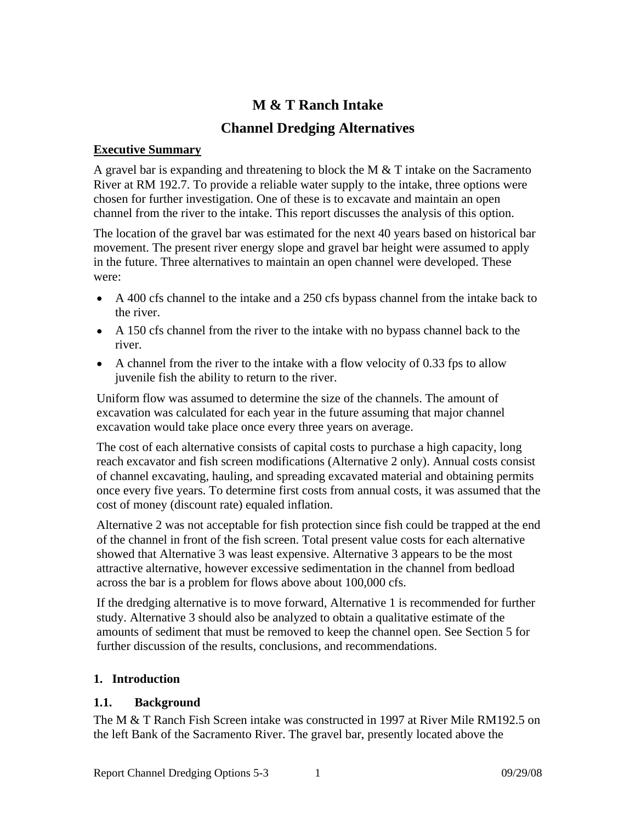# **M & T Ranch Intake**

## **Channel Dredging Alternatives**

#### **Executive Summary**

A gravel bar is expanding and threatening to block the M & T intake on the Sacramento River at RM 192.7. To provide a reliable water supply to the intake, three options were chosen for further investigation. One of these is to excavate and maintain an open channel from the river to the intake. This report discusses the analysis of this option.

The location of the gravel bar was estimated for the next 40 years based on historical bar movement. The present river energy slope and gravel bar height were assumed to apply in the future. Three alternatives to maintain an open channel were developed. These were:

- A 400 cfs channel to the intake and a 250 cfs bypass channel from the intake back to the river.
- A 150 cfs channel from the river to the intake with no bypass channel back to the river.
- $\bullet$  A channel from the river to the intake with a flow velocity of 0.33 fps to allow juvenile fish the ability to return to the river.

Uniform flow was assumed to determine the size of the channels. The amount of excavation was calculated for each year in the future assuming that major channel excavation would take place once every three years on average.

The cost of each alternative consists of capital costs to purchase a high capacity, long reach excavator and fish screen modifications (Alternative 2 only). Annual costs consist of channel excavating, hauling, and spreading excavated material and obtaining permits once every five years. To determine first costs from annual costs, it was assumed that the cost of money (discount rate) equaled inflation.

Alternative 2 was not acceptable for fish protection since fish could be trapped at the end of the channel in front of the fish screen. Total present value costs for each alternative showed that Alternative 3 was least expensive. Alternative 3 appears to be the most attractive alternative, however excessive sedimentation in the channel from bedload across the bar is a problem for flows above about 100,000 cfs.

If the dredging alternative is to move forward, Alternative 1 is recommended for further study. Alternative 3 should also be analyzed to obtain a qualitative estimate of the amounts of sediment that must be removed to keep the channel open. See Section 5 for further discussion of the results, conclusions, and recommendations.

### **1. Introduction**

### **1.1. Background**

The M & T Ranch Fish Screen intake was constructed in 1997 at River Mile RM192.5 on the left Bank of the Sacramento River. The gravel bar, presently located above the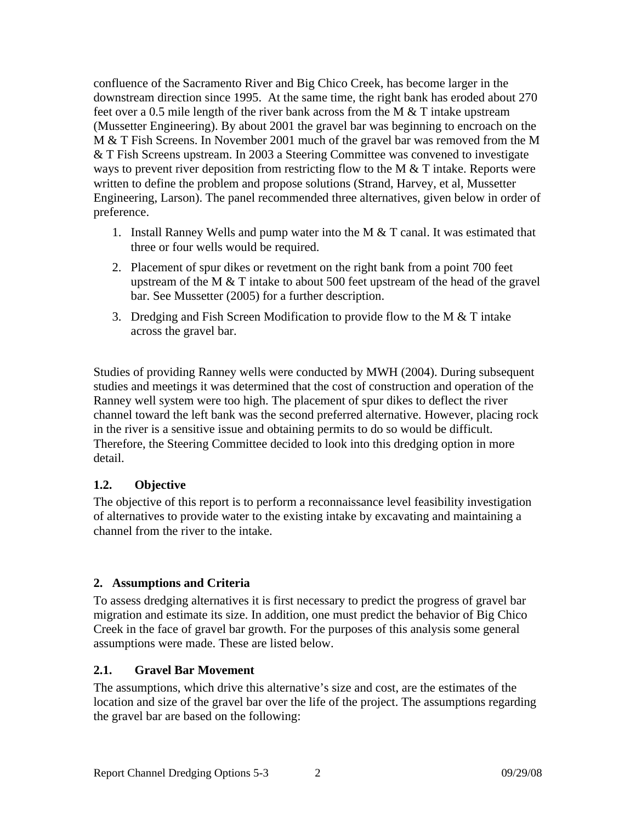confluence of the Sacramento River and Big Chico Creek, has become larger in the downstream direction since 1995. At the same time, the right bank has eroded about 270 feet over a 0.5 mile length of the river bank across from the M & T intake upstream (Mussetter Engineering). By about 2001 the gravel bar was beginning to encroach on the M & T Fish Screens. In November 2001 much of the gravel bar was removed from the M & T Fish Screens upstream. In 2003 a Steering Committee was convened to investigate ways to prevent river deposition from restricting flow to the M  $&$  T intake. Reports were written to define the problem and propose solutions (Strand, Harvey, et al, Mussetter Engineering, Larson). The panel recommended three alternatives, given below in order of preference.

- 1. Install Ranney Wells and pump water into the M & T canal. It was estimated that three or four wells would be required.
- 2. Placement of spur dikes or revetment on the right bank from a point 700 feet upstream of the M  $&$  T intake to about 500 feet upstream of the head of the gravel bar. See Mussetter (2005) for a further description.
- 3. Dredging and Fish Screen Modification to provide flow to the M  $&$  T intake across the gravel bar.

Studies of providing Ranney wells were conducted by MWH (2004). During subsequent studies and meetings it was determined that the cost of construction and operation of the Ranney well system were too high. The placement of spur dikes to deflect the river channel toward the left bank was the second preferred alternative. However, placing rock in the river is a sensitive issue and obtaining permits to do so would be difficult. Therefore, the Steering Committee decided to look into this dredging option in more detail.

### **1.2. Objective**

The objective of this report is to perform a reconnaissance level feasibility investigation of alternatives to provide water to the existing intake by excavating and maintaining a channel from the river to the intake.

### **2. Assumptions and Criteria**

To assess dredging alternatives it is first necessary to predict the progress of gravel bar migration and estimate its size. In addition, one must predict the behavior of Big Chico Creek in the face of gravel bar growth. For the purposes of this analysis some general assumptions were made. These are listed below.

### **2.1. Gravel Bar Movement**

The assumptions, which drive this alternative's size and cost, are the estimates of the location and size of the gravel bar over the life of the project. The assumptions regarding the gravel bar are based on the following: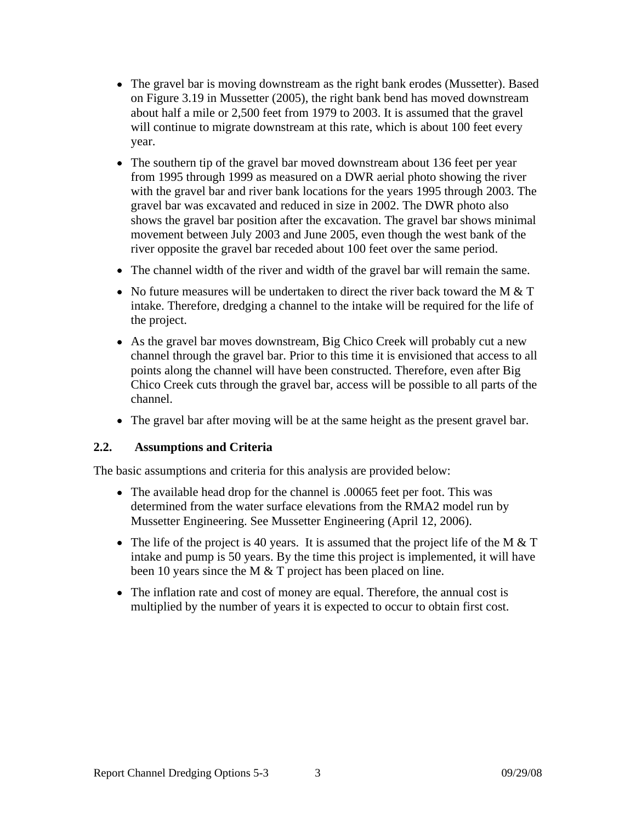- The gravel bar is moving downstream as the right bank erodes (Mussetter). Based on Figure 3.19 in Mussetter (2005), the right bank bend has moved downstream about half a mile or 2,500 feet from 1979 to 2003. It is assumed that the gravel will continue to migrate downstream at this rate, which is about 100 feet every year.
- The southern tip of the gravel bar moved downstream about 136 feet per year from 1995 through 1999 as measured on a DWR aerial photo showing the river with the gravel bar and river bank locations for the years 1995 through 2003. The gravel bar was excavated and reduced in size in 2002. The DWR photo also shows the gravel bar position after the excavation. The gravel bar shows minimal movement between July 2003 and June 2005, even though the west bank of the river opposite the gravel bar receded about 100 feet over the same period.
- The channel width of the river and width of the gravel bar will remain the same.
- No future measures will be undertaken to direct the river back toward the M & T intake. Therefore, dredging a channel to the intake will be required for the life of the project.
- As the gravel bar moves downstream, Big Chico Creek will probably cut a new channel through the gravel bar. Prior to this time it is envisioned that access to all points along the channel will have been constructed. Therefore, even after Big Chico Creek cuts through the gravel bar, access will be possible to all parts of the channel.
- The gravel bar after moving will be at the same height as the present gravel bar.

#### **2.2. Assumptions and Criteria**

The basic assumptions and criteria for this analysis are provided below:

- The available head drop for the channel is .00065 feet per foot. This was determined from the water surface elevations from the RMA2 model run by Mussetter Engineering. See Mussetter Engineering (April 12, 2006).
- The life of the project is 40 years. It is assumed that the project life of the M  $&$  T intake and pump is 50 years. By the time this project is implemented, it will have been 10 years since the M & T project has been placed on line.
- The inflation rate and cost of money are equal. Therefore, the annual cost is multiplied by the number of years it is expected to occur to obtain first cost.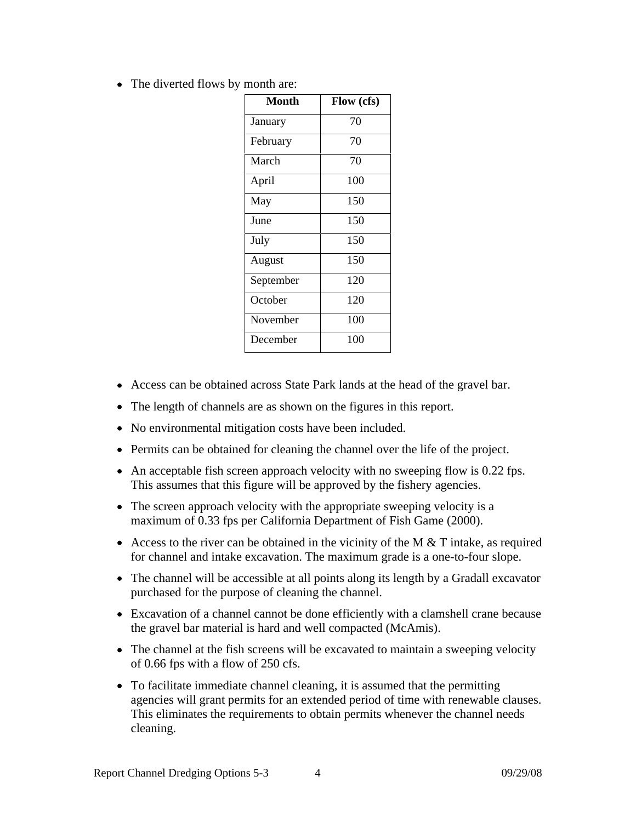• The diverted flows by month are:

| <b>Month</b> | Flow (cfs) |
|--------------|------------|
| January      | 70         |
| February     | 70         |
| March        | 70         |
| April        | 100        |
| May          | 150        |
| June         | 150        |
| July         | 150        |
| August       | 150        |
| September    | 120        |
| October      | 120        |
| November     | 100        |
| December     | 100        |

- Access can be obtained across State Park lands at the head of the gravel bar.
- The length of channels are as shown on the figures in this report.
- No environmental mitigation costs have been included.
- Permits can be obtained for cleaning the channel over the life of the project.
- $\bullet$  An acceptable fish screen approach velocity with no sweeping flow is 0.22 fps. This assumes that this figure will be approved by the fishery agencies.
- The screen approach velocity with the appropriate sweeping velocity is a maximum of 0.33 fps per California Department of Fish Game (2000).
- Access to the river can be obtained in the vicinity of the M  $&$  T intake, as required for channel and intake excavation. The maximum grade is a one-to-four slope.
- The channel will be accessible at all points along its length by a Gradall excavator purchased for the purpose of cleaning the channel.
- Excavation of a channel cannot be done efficiently with a clamshell crane because the gravel bar material is hard and well compacted (McAmis).
- The channel at the fish screens will be excavated to maintain a sweeping velocity of 0.66 fps with a flow of 250 cfs.
- To facilitate immediate channel cleaning, it is assumed that the permitting agencies will grant permits for an extended period of time with renewable clauses. This eliminates the requirements to obtain permits whenever the channel needs cleaning.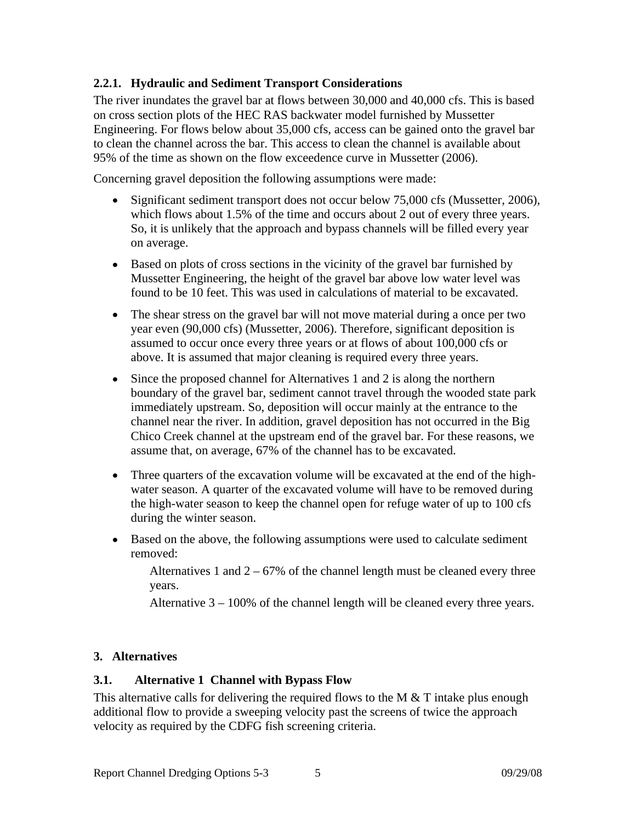### **2.2.1. Hydraulic and Sediment Transport Considerations**

The river inundates the gravel bar at flows between 30,000 and 40,000 cfs. This is based on cross section plots of the HEC RAS backwater model furnished by Mussetter Engineering. For flows below about 35,000 cfs, access can be gained onto the gravel bar to clean the channel across the bar. This access to clean the channel is available about 95% of the time as shown on the flow exceedence curve in Mussetter (2006).

Concerning gravel deposition the following assumptions were made:

- Significant sediment transport does not occur below 75,000 cfs (Mussetter, 2006), which flows about 1.5% of the time and occurs about 2 out of every three years. So, it is unlikely that the approach and bypass channels will be filled every year on average.
- Based on plots of cross sections in the vicinity of the gravel bar furnished by Mussetter Engineering, the height of the gravel bar above low water level was found to be 10 feet. This was used in calculations of material to be excavated.
- The shear stress on the gravel bar will not move material during a once per two year even (90,000 cfs) (Mussetter, 2006). Therefore, significant deposition is assumed to occur once every three years or at flows of about 100,000 cfs or above. It is assumed that major cleaning is required every three years.
- Since the proposed channel for Alternatives 1 and 2 is along the northern boundary of the gravel bar, sediment cannot travel through the wooded state park immediately upstream. So, deposition will occur mainly at the entrance to the channel near the river. In addition, gravel deposition has not occurred in the Big Chico Creek channel at the upstream end of the gravel bar. For these reasons, we assume that, on average, 67% of the channel has to be excavated.
- Three quarters of the excavation volume will be excavated at the end of the high water season. A quarter of the excavated volume will have to be removed during the high-water season to keep the channel open for refuge water of up to 100 cfs during the winter season.
- Based on the above, the following assumptions were used to calculate sediment removed:

Alternatives 1 and  $2 - 67\%$  of the channel length must be cleaned every three years.

Alternative 3 – 100% of the channel length will be cleaned every three years.

#### **3. Alternatives**

#### **3.1. Alternative 1 Channel with Bypass Flow**

This alternative calls for delivering the required flows to the M  $&$  T intake plus enough additional flow to provide a sweeping velocity past the screens of twice the approach velocity as required by the CDFG fish screening criteria.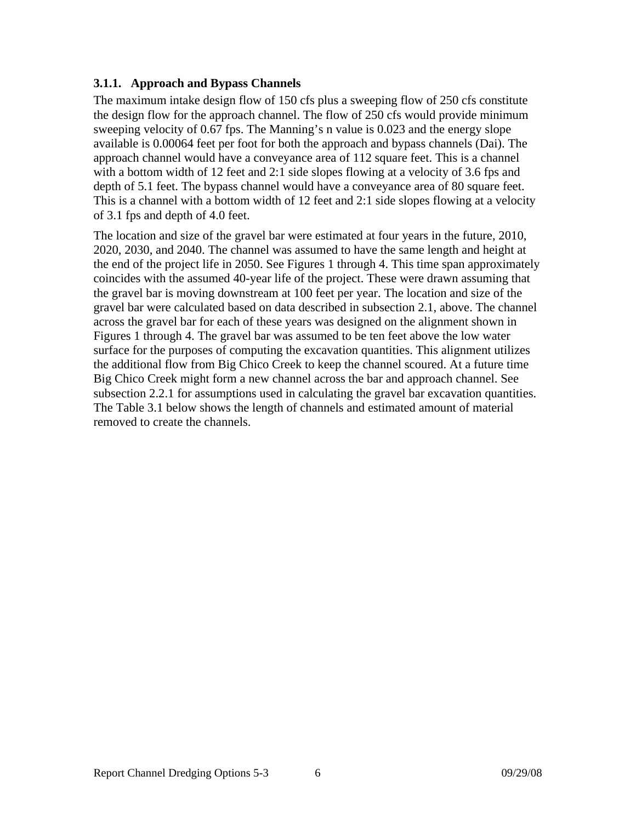### **3.1.1. Approach and Bypass Channels**

The maximum intake design flow of 150 cfs plus a sweeping flow of 250 cfs constitute the design flow for the approach channel. The flow of 250 cfs would provide minimum sweeping velocity of 0.67 fps. The Manning's n value is 0.023 and the energy slope available is 0.00064 feet per foot for both the approach and bypass channels (Dai). The approach channel would have a conveyance area of 112 square feet. This is a channel with a bottom width of 12 feet and 2:1 side slopes flowing at a velocity of 3.6 fps and depth of 5.1 feet. The bypass channel would have a conveyance area of 80 square feet. This is a channel with a bottom width of 12 feet and 2:1 side slopes flowing at a velocity of 3.1 fps and depth of 4.0 feet.

The location and size of the gravel bar were estimated at four years in the future, 2010, 2020, 2030, and 2040. The channel was assumed to have the same length and height at the end of the project life in 2050. See Figures 1 through 4. This time span approximately coincides with the assumed 40-year life of the project. These were drawn assuming that the gravel bar is moving downstream at 100 feet per year. The location and size of the gravel bar were calculated based on data described in subsection 2.1, above. The channel across the gravel bar for each of these years was designed on the alignment shown in Figures 1 through 4. The gravel bar was assumed to be ten feet above the low water surface for the purposes of computing the excavation quantities. This alignment utilizes the additional flow from Big Chico Creek to keep the channel scoured. At a future time Big Chico Creek might form a new channel across the bar and approach channel. See subsection 2.2.1 for assumptions used in calculating the gravel bar excavation quantities. The Table 3.1 below shows the length of channels and estimated amount of material removed to create the channels.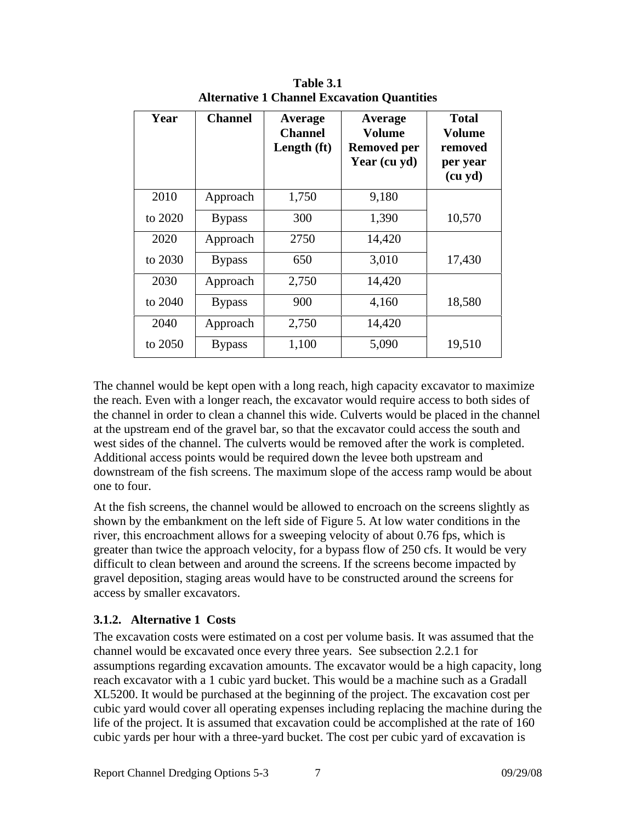| Year    | <b>Channel</b> | <b>Average</b><br><b>Channel</b><br>Length (ft) | Average<br>Volume<br><b>Removed per</b><br>Year (cu yd) | <b>Total</b><br>Volume<br>removed<br>per year<br>(cu yd) |
|---------|----------------|-------------------------------------------------|---------------------------------------------------------|----------------------------------------------------------|
| 2010    | Approach       | 1,750                                           | 9,180                                                   |                                                          |
| to 2020 | <b>Bypass</b>  | 300                                             | 1,390                                                   | 10,570                                                   |
| 2020    | Approach       | 2750                                            | 14,420                                                  |                                                          |
| to 2030 | <b>Bypass</b>  | 650                                             | 3,010                                                   | 17,430                                                   |
| 2030    | Approach       | 2,750                                           | 14,420                                                  |                                                          |
| to 2040 | <b>Bypass</b>  | 900                                             | 4,160                                                   | 18,580                                                   |
| 2040    | Approach       | 2,750                                           | 14,420                                                  |                                                          |
| to 2050 | <b>Bypass</b>  | 1,100                                           | 5,090                                                   | 19,510                                                   |

**Table 3.1 Alternative 1 Channel Excavation Quantities**

The channel would be kept open with a long reach, high capacity excavator to maximize the reach. Even with a longer reach, the excavator would require access to both sides of the channel in order to clean a channel this wide. Culverts would be placed in the channel at the upstream end of the gravel bar, so that the excavator could access the south and west sides of the channel. The culverts would be removed after the work is completed. Additional access points would be required down the levee both upstream and downstream of the fish screens. The maximum slope of the access ramp would be about one to four.

At the fish screens, the channel would be allowed to encroach on the screens slightly as shown by the embankment on the left side of Figure 5. At low water conditions in the river, this encroachment allows for a sweeping velocity of about 0.76 fps, which is greater than twice the approach velocity, for a bypass flow of 250 cfs. It would be very difficult to clean between and around the screens. If the screens become impacted by gravel deposition, staging areas would have to be constructed around the screens for access by smaller excavators.

#### **3.1.2. Alternative 1 Costs**

The excavation costs were estimated on a cost per volume basis. It was assumed that the channel would be excavated once every three years. See subsection 2.2.1 for assumptions regarding excavation amounts. The excavator would be a high capacity, long reach excavator with a 1 cubic yard bucket. This would be a machine such as a Gradall XL5200. It would be purchased at the beginning of the project. The excavation cost per cubic yard would cover all operating expenses including replacing the machine during the life of the project. It is assumed that excavation could be accomplished at the rate of 160 cubic yards per hour with a three-yard bucket. The cost per cubic yard of excavation is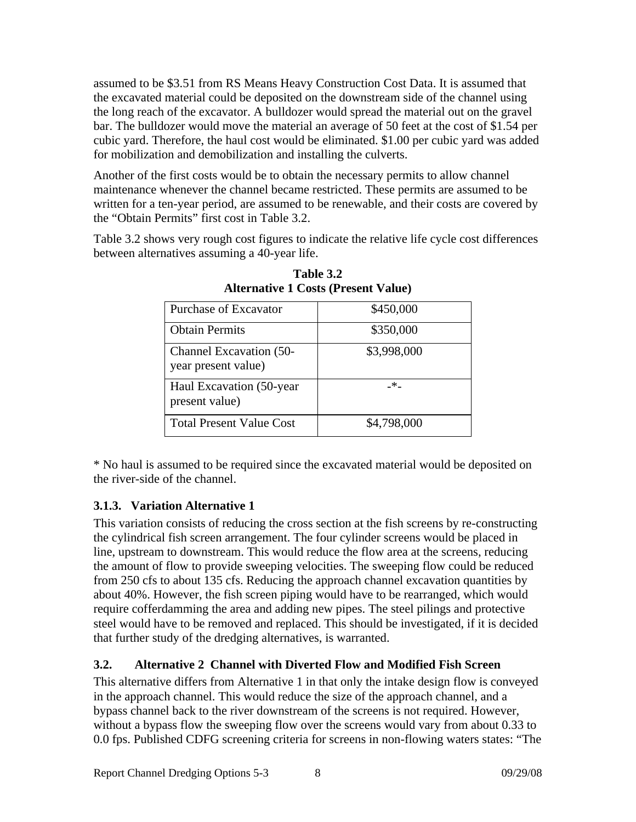assumed to be \$3.51 from RS Means Heavy Construction Cost Data. It is assumed that the excavated material could be deposited on the downstream side of the channel using the long reach of the excavator. A bulldozer would spread the material out on the gravel bar. The bulldozer would move the material an average of 50 feet at the cost of \$1.54 per cubic yard. Therefore, the haul cost would be eliminated. \$1.00 per cubic yard was added for mobilization and demobilization and installing the culverts.

Another of the first costs would be to obtain the necessary permits to allow channel maintenance whenever the channel became restricted. These permits are assumed to be written for a ten-year period, are assumed to be renewable, and their costs are covered by the "Obtain Permits" first cost in Table 3.2.

Table 3.2 shows very rough cost figures to indicate the relative life cycle cost differences between alternatives assuming a 40-year life.

| <b>Purchase of Excavator</b>                   | \$450,000   |
|------------------------------------------------|-------------|
| <b>Obtain Permits</b>                          | \$350,000   |
| Channel Excavation (50-<br>year present value) | \$3,998,000 |
| Haul Excavation (50-year<br>present value)     | $ -$        |
| Total Present Value Cost                       | \$4,798,000 |

**Table 3.2 Alternative 1 Costs (Present Value)**

\* No haul is assumed to be required since the excavated material would be deposited on the river-side of the channel.

### **3.1.3. Variation Alternative 1**

This variation consists of reducing the cross section at the fish screens by re-constructing the cylindrical fish screen arrangement. The four cylinder screens would be placed in line, upstream to downstream. This would reduce the flow area at the screens, reducing the amount of flow to provide sweeping velocities. The sweeping flow could be reduced from 250 cfs to about 135 cfs. Reducing the approach channel excavation quantities by about 40%. However, the fish screen piping would have to be rearranged, which would require cofferdamming the area and adding new pipes. The steel pilings and protective steel would have to be removed and replaced. This should be investigated, if it is decided that further study of the dredging alternatives, is warranted.

## **3.2. Alternative 2 Channel with Diverted Flow and Modified Fish Screen**

This alternative differs from Alternative 1 in that only the intake design flow is conveyed in the approach channel. This would reduce the size of the approach channel, and a bypass channel back to the river downstream of the screens is not required. However, without a bypass flow the sweeping flow over the screens would vary from about 0.33 to 0.0 fps. Published CDFG screening criteria for screens in non-flowing waters states: "The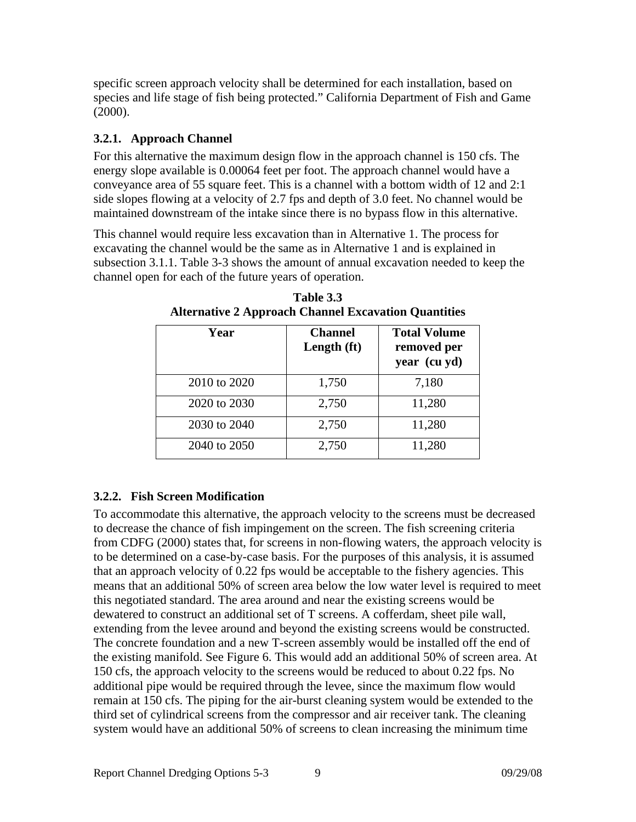specific screen approach velocity shall be determined for each installation, based on species and life stage of fish being protected." California Department of Fish and Game (2000).

### **3.2.1. Approach Channel**

For this alternative the maximum design flow in the approach channel is 150 cfs. The energy slope available is 0.00064 feet per foot. The approach channel would have a conveyance area of 55 square feet. This is a channel with a bottom width of 12 and 2:1 side slopes flowing at a velocity of 2.7 fps and depth of 3.0 feet. No channel would be maintained downstream of the intake since there is no bypass flow in this alternative.

This channel would require less excavation than in Alternative 1. The process for excavating the channel would be the same as in Alternative 1 and is explained in subsection 3.1.1. Table 3-3 shows the amount of annual excavation needed to keep the channel open for each of the future years of operation.

| Year         | <b>Channel</b><br>Length (ft) | <b>Total Volume</b><br>removed per<br>year (cu yd) |
|--------------|-------------------------------|----------------------------------------------------|
| 2010 to 2020 | 1,750                         | 7,180                                              |
| 2020 to 2030 | 2,750                         | 11,280                                             |
| 2030 to 2040 | 2,750                         | 11,280                                             |
| 2040 to 2050 | 2,750                         | 11,280                                             |

**Table 3.3 Alternative 2 Approach Channel Excavation Quantities**

### **3.2.2. Fish Screen Modification**

To accommodate this alternative, the approach velocity to the screens must be decreased to decrease the chance of fish impingement on the screen. The fish screening criteria from CDFG (2000) states that, for screens in non-flowing waters, the approach velocity is to be determined on a case-by-case basis. For the purposes of this analysis, it is assumed that an approach velocity of 0.22 fps would be acceptable to the fishery agencies. This means that an additional 50% of screen area below the low water level is required to meet this negotiated standard. The area around and near the existing screens would be dewatered to construct an additional set of T screens. A cofferdam, sheet pile wall, extending from the levee around and beyond the existing screens would be constructed. The concrete foundation and a new T-screen assembly would be installed off the end of the existing manifold. See Figure 6. This would add an additional 50% of screen area. At 150 cfs, the approach velocity to the screens would be reduced to about 0.22 fps. No additional pipe would be required through the levee, since the maximum flow would remain at 150 cfs. The piping for the air-burst cleaning system would be extended to the third set of cylindrical screens from the compressor and air receiver tank. The cleaning system would have an additional 50% of screens to clean increasing the minimum time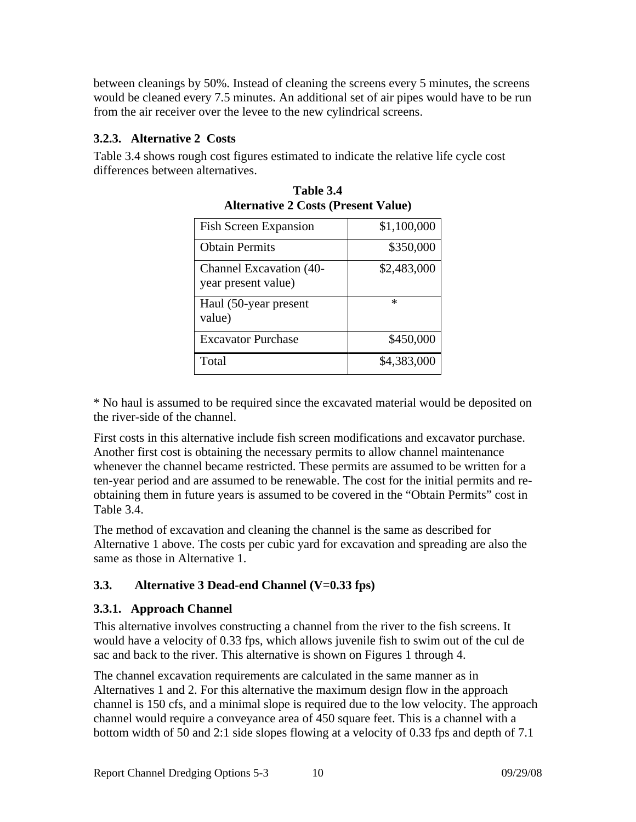between cleanings by 50%. Instead of cleaning the screens every 5 minutes, the screens would be cleaned every 7.5 minutes. An additional set of air pipes would have to be run from the air receiver over the levee to the new cylindrical screens.

#### **3.2.3. Alternative 2 Costs**

Table 3.4 shows rough cost figures estimated to indicate the relative life cycle cost differences between alternatives.

| <b>Fish Screen Expansion</b>                   | \$1,100,000 |
|------------------------------------------------|-------------|
| <b>Obtain Permits</b>                          | \$350,000   |
| Channel Excavation (40-<br>year present value) | \$2,483,000 |
| Haul (50-year present<br>value)                |             |
| <b>Excavator Purchase</b>                      | \$450,000   |
| Total                                          | \$4,383,000 |

**Table 3.4 Alternative 2 Costs (Present Value)**

\* No haul is assumed to be required since the excavated material would be deposited on the river-side of the channel.

First costs in this alternative include fish screen modifications and excavator purchase. Another first cost is obtaining the necessary permits to allow channel maintenance whenever the channel became restricted. These permits are assumed to be written for a ten-year period and are assumed to be renewable. The cost for the initial permits and re obtaining them in future years is assumed to be covered in the "Obtain Permits" cost in Table 3.4.

The method of excavation and cleaning the channel is the same as described for Alternative 1 above. The costs per cubic yard for excavation and spreading are also the same as those in Alternative 1.

### **3.3. Alternative 3 Dead-end Channel (V=0.33 fps)**

#### **3.3.1. Approach Channel**

This alternative involves constructing a channel from the river to the fish screens. It would have a velocity of 0.33 fps, which allows juvenile fish to swim out of the cul de sac and back to the river. This alternative is shown on Figures 1 through 4.

The channel excavation requirements are calculated in the same manner as in Alternatives 1 and 2. For this alternative the maximum design flow in the approach channel is 150 cfs, and a minimal slope is required due to the low velocity. The approach channel would require a conveyance area of 450 square feet. This is a channel with a bottom width of 50 and 2:1 side slopes flowing at a velocity of 0.33 fps and depth of 7.1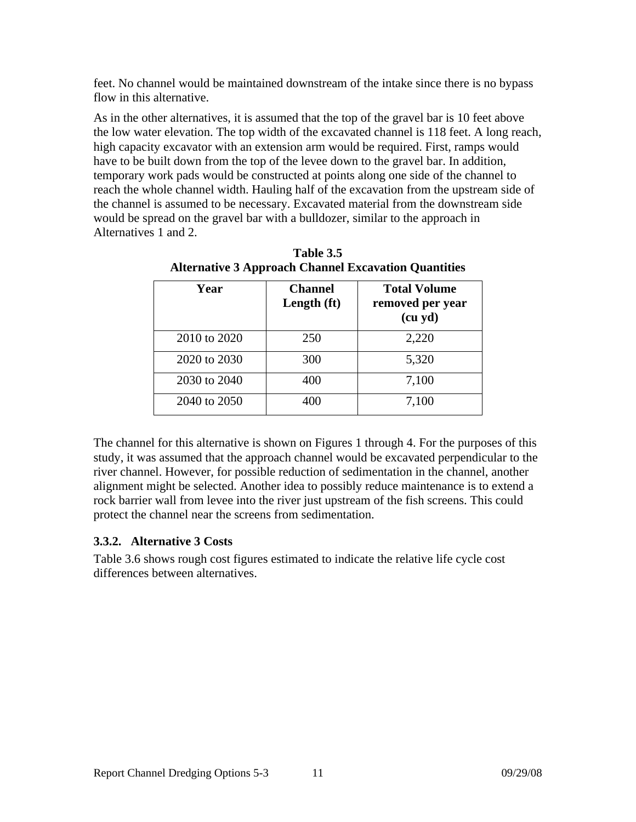feet. No channel would be maintained downstream of the intake since there is no bypass flow in this alternative.

As in the other alternatives, it is assumed that the top of the gravel bar is 10 feet above the low water elevation. The top width of the excavated channel is 118 feet. A long reach, high capacity excavator with an extension arm would be required. First, ramps would have to be built down from the top of the levee down to the gravel bar. In addition, temporary work pads would be constructed at points along one side of the channel to reach the whole channel width. Hauling half of the excavation from the upstream side of the channel is assumed to be necessary. Excavated material from the downstream side would be spread on the gravel bar with a bulldozer, similar to the approach in Alternatives 1 and 2.

| Year         | <b>Channel</b><br>Length (ft) | <b>Total Volume</b><br>removed per year<br>(cu yd) |
|--------------|-------------------------------|----------------------------------------------------|
| 2010 to 2020 | 250                           | 2,220                                              |
| 2020 to 2030 | 300                           | 5,320                                              |
| 2030 to 2040 | 400                           | 7,100                                              |
| 2040 to 2050 | 400                           | 7,100                                              |

**Table 3.5 Alternative 3 Approach Channel Excavation Quantities**

The channel for this alternative is shown on Figures 1 through 4. For the purposes of this study, it was assumed that the approach channel would be excavated perpendicular to the river channel. However, for possible reduction of sedimentation in the channel, another alignment might be selected. Another idea to possibly reduce maintenance is to extend a rock barrier wall from levee into the river just upstream of the fish screens. This could protect the channel near the screens from sedimentation.

#### **3.3.2. Alternative 3 Costs**

Table 3.6 shows rough cost figures estimated to indicate the relative life cycle cost differences between alternatives.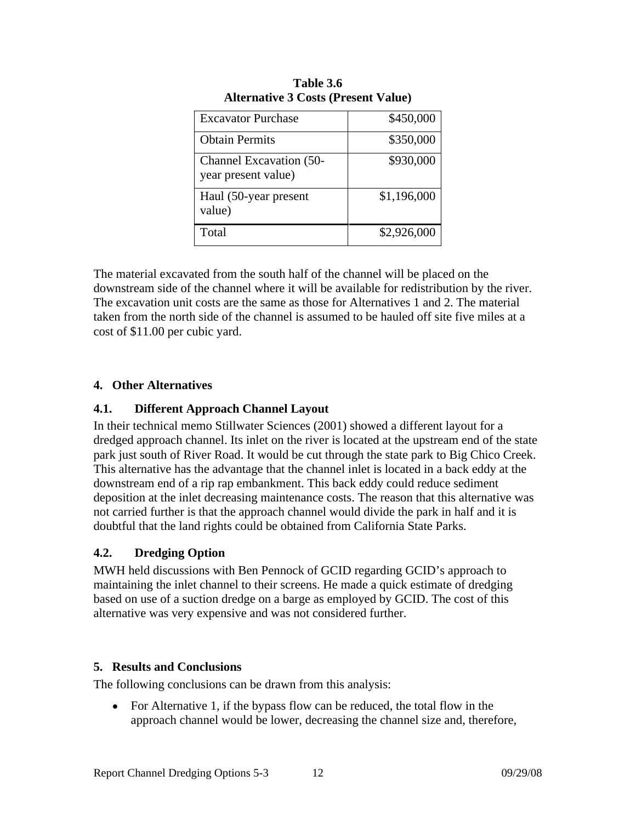| <b>Excavator Purchase</b>                      | \$450,000   |
|------------------------------------------------|-------------|
| <b>Obtain Permits</b>                          | \$350,000   |
| Channel Excavation (50-<br>year present value) | \$930,000   |
| Haul (50-year present<br>value)                | \$1,196,000 |
| Total                                          | \$2,926,000 |

| $\cdots$<br>Table 3.6                      |
|--------------------------------------------|
| <b>Alternative 3 Costs (Present Value)</b> |

The material excavated from the south half of the channel will be placed on the downstream side of the channel where it will be available for redistribution by the river. The excavation unit costs are the same as those for Alternatives 1 and 2. The material taken from the north side of the channel is assumed to be hauled off site five miles at a cost of \$11.00 per cubic yard.

### **4. Other Alternatives**

#### **4.1. Different Approach Channel Layout**

In their technical memo Stillwater Sciences (2001) showed a different layout for a dredged approach channel. Its inlet on the river is located at the upstream end of the state park just south of River Road. It would be cut through the state park to Big Chico Creek. This alternative has the advantage that the channel inlet is located in a back eddy at the downstream end of a rip rap embankment. This back eddy could reduce sediment deposition at the inlet decreasing maintenance costs. The reason that this alternative was not carried further is that the approach channel would divide the park in half and it is doubtful that the land rights could be obtained from California State Parks.

### **4.2. Dredging Option**

MWH held discussions with Ben Pennock of GCID regarding GCID's approach to maintaining the inlet channel to their screens. He made a quick estimate of dredging based on use of a suction dredge on a barge as employed by GCID. The cost of this alternative was very expensive and was not considered further.

#### **5. Results and Conclusions**

The following conclusions can be drawn from this analysis:

• For Alternative 1, if the bypass flow can be reduced, the total flow in the approach channel would be lower, decreasing the channel size and, therefore,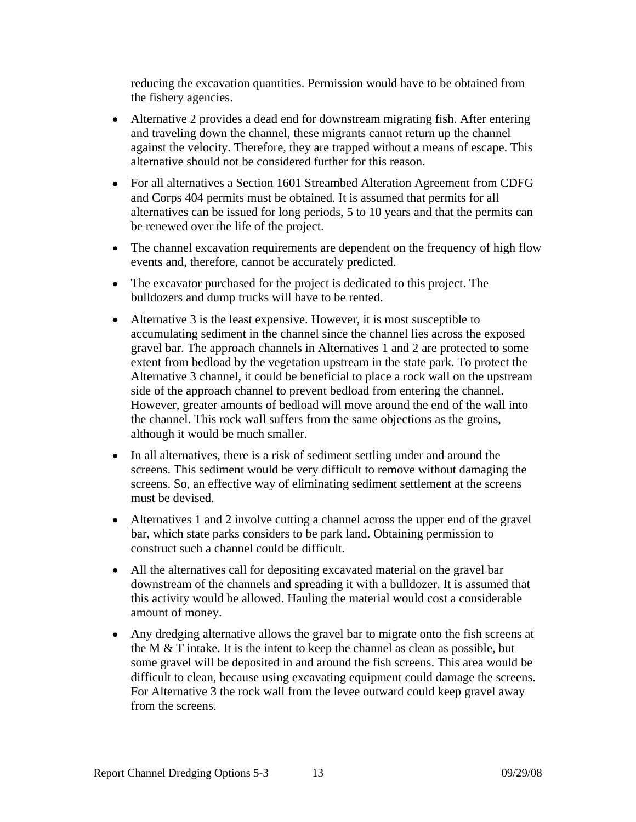reducing the excavation quantities. Permission would have to be obtained from the fishery agencies.

- Alternative 2 provides a dead end for downstream migrating fish. After entering and traveling down the channel, these migrants cannot return up the channel against the velocity. Therefore, they are trapped without a means of escape. This alternative should not be considered further for this reason.
- For all alternatives a Section 1601 Streambed Alteration Agreement from CDFG and Corps 404 permits must be obtained. It is assumed that permits for all alternatives can be issued for long periods, 5 to 10 years and that the permits can be renewed over the life of the project.
- The channel excavation requirements are dependent on the frequency of high flow events and, therefore, cannot be accurately predicted.
- The excavator purchased for the project is dedicated to this project. The bulldozers and dump trucks will have to be rented.
- Alternative 3 is the least expensive. However, it is most susceptible to accumulating sediment in the channel since the channel lies across the exposed gravel bar. The approach channels in Alternatives 1 and 2 are protected to some extent from bedload by the vegetation upstream in the state park. To protect the Alternative 3 channel, it could be beneficial to place a rock wall on the upstream side of the approach channel to prevent bedload from entering the channel. However, greater amounts of bedload will move around the end of the wall into the channel. This rock wall suffers from the same objections as the groins, although it would be much smaller.
- In all alternatives, there is a risk of sediment settling under and around the screens. This sediment would be very difficult to remove without damaging the screens. So, an effective way of eliminating sediment settlement at the screens must be devised.
- Alternatives 1 and 2 involve cutting a channel across the upper end of the gravel bar, which state parks considers to be park land. Obtaining permission to construct such a channel could be difficult.
- All the alternatives call for depositing excavated material on the gravel bar downstream of the channels and spreading it with a bulldozer. It is assumed that this activity would be allowed. Hauling the material would cost a considerable amount of money.
- Any dredging alternative allows the gravel bar to migrate onto the fish screens at the M  $&$  T intake. It is the intent to keep the channel as clean as possible, but some gravel will be deposited in and around the fish screens. This area would be difficult to clean, because using excavating equipment could damage the screens. For Alternative 3 the rock wall from the levee outward could keep gravel away from the screens.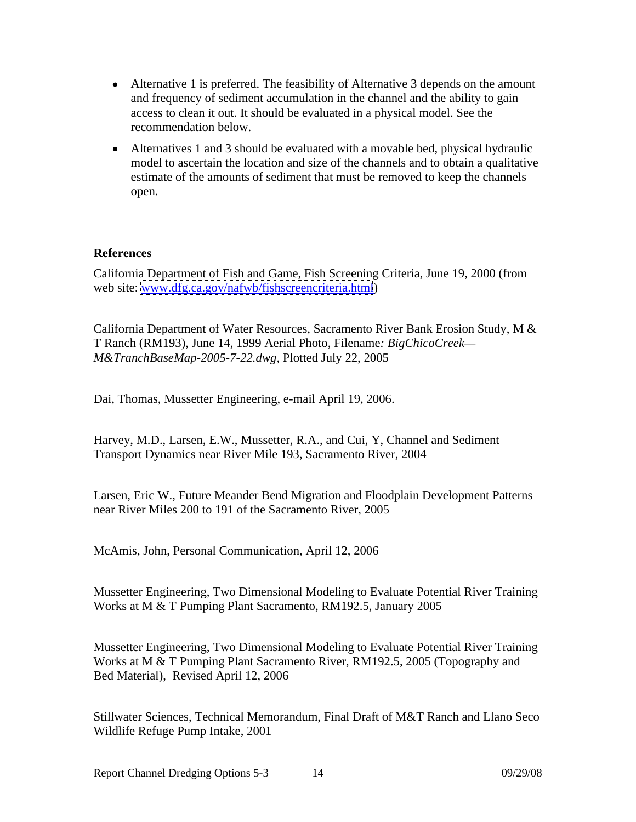- Alternative 1 is preferred. The feasibility of Alternative 3 depends on the amount and frequency of sediment accumulation in the channel and the ability to gain access to clean it out. It should be evaluated in a physical model. See the recommendation below.
- Alternatives 1 and 3 should be evaluated with a movable bed, physical hydraulic model to ascertain the location and size of the channels and to obtain a qualitative estimate of the amounts of sediment that must be removed to keep the channels open.

#### **References**

California Department of Fish and Game, Fish Screening Criteria, June 19, 2000 (from web site: [www.dfg.ca.gov/nafwb/fishscreencriteria.html](http://www.dfg.ca.gov/nafwb/fishscreencriteria.html))

California Department of Water Resources, Sacramento River Bank Erosion Study, M & T Ranch (RM193), June 14, 1999 Aerial Photo, Filename*: BigChicoCreek— M&TranchBaseMap-2005-7-22.dwg,* Plotted July 22, 2005

Dai, Thomas, Mussetter Engineering, e-mail April 19, 2006.

Harvey, M.D., Larsen, E.W., Mussetter, R.A., and Cui, Y, Channel and Sediment Transport Dynamics near River Mile 193, Sacramento River, 2004

Larsen, Eric W., Future Meander Bend Migration and Floodplain Development Patterns near River Miles 200 to 191 of the Sacramento River, 2005

McAmis, John, Personal Communication, April 12, 2006

Mussetter Engineering, Two Dimensional Modeling to Evaluate Potential River Training Works at M & T Pumping Plant Sacramento, RM192.5, January 2005

Mussetter Engineering, Two Dimensional Modeling to Evaluate Potential River Training Works at M & T Pumping Plant Sacramento River, RM192.5, 2005 (Topography and Bed Material), Revised April 12, 2006

Stillwater Sciences, Technical Memorandum, Final Draft of M&T Ranch and Llano Seco Wildlife Refuge Pump Intake, 2001